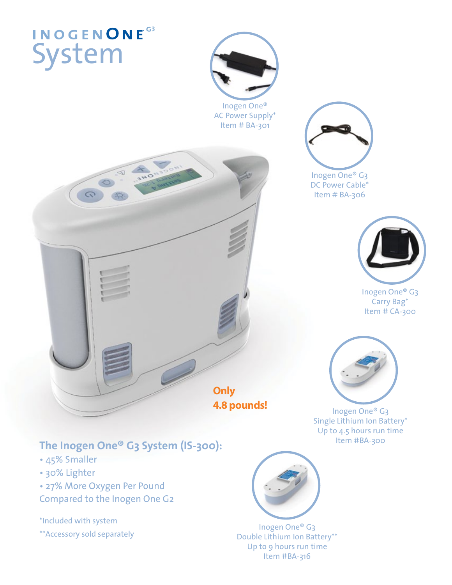# System **INOGENONE**<sup>G3</sup>



Inogen One® AC Power Supply\* Item # BA-301





Inogen One® G3 Carry Bag\* Item # CA-300



Inogen One® G3 DC Power Cable\* Item # BA-306

Inogen One® G3 Single Lithium Ion Battery\* Up to 4.5 hours run time<br>Item #BA-300

### The Inogen One® G3 System (IS-300):

- 45% Smaller
- 30% Lighter
- 27% More Oxygen Per Pound
- Compared to the Inogen One G2

\*Included with system

\*\*Accessory sold separately



Inogen One® G3 Double Lithium Ion Battery\*\* Up to 9 hours run time Item #BA-316